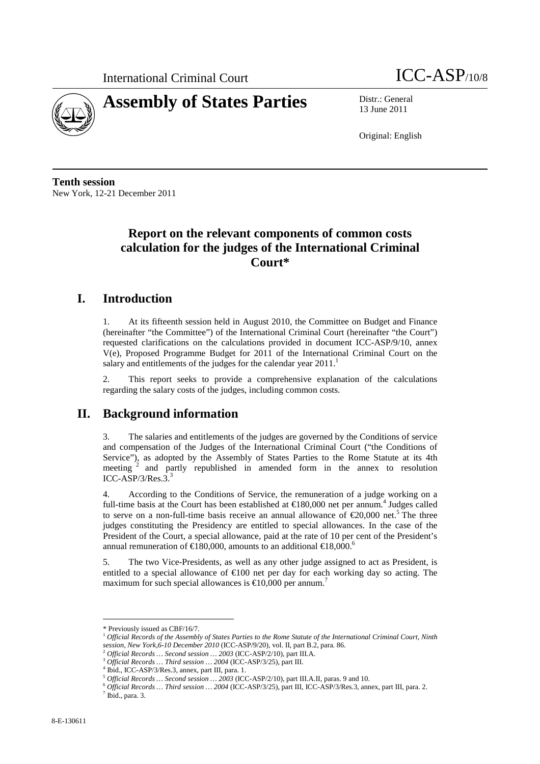

13 June 2011

Original: English

**Tenth session**  New York, 12-21 December 2011

## **Report on the relevant components of common costs calculation for the judges of the International Criminal Court\***

## **I. Introduction**

1. At its fifteenth session held in August 2010, the Committee on Budget and Finance (hereinafter "the Committee") of the International Criminal Court (hereinafter "the Court") requested clarifications on the calculations provided in document ICC-ASP/9/10, annex V(e), Proposed Programme Budget for 2011 of the International Criminal Court on the salary and entitlements of the judges for the calendar year  $2011$ .<sup>1</sup>

2. This report seeks to provide a comprehensive explanation of the calculations regarding the salary costs of the judges, including common costs.

## **II. Background information**

3. The salaries and entitlements of the judges are governed by the Conditions of service and compensation of the Judges of the International Criminal Court ("the Conditions of Service"), as adopted by the Assembly of States Parties to the Rome Statute at its 4th meeting  $2$  and partly republished in amended form in the annex to resolution  $ICC-ASP/3/Res.3.3$ 

4. According to the Conditions of Service, the remuneration of a judge working on a full-time basis at the Court has been established at  $\epsilon$ 180,000 net per annum.<sup>4</sup> Judges called to serve on a non-full-time basis receive an annual allowance of  $\epsilon$ 20,000 net.<sup>5</sup> The three judges constituting the Presidency are entitled to special allowances. In the case of the President of the Court, a special allowance, paid at the rate of 10 per cent of the President's annual remuneration of €180,000, amounts to an additional €18,000.

5. The two Vice-Presidents, as well as any other judge assigned to act as President, is entitled to a special allowance of  $\epsilon 100$  net per day for each working day so acting. The maximum for such special allowances is  $\epsilon$ 10,000 per annum.<sup>7</sup>

 $\overline{a}$ 

<sup>\*</sup> Previously issued as CBF/16/7.

<sup>1</sup> *Official Records of the Assembly of States Parties to the Rome Statute of the International Criminal Court, Ninth session, New York,6-10 December 2010* (ICC-ASP/9/20), vol. II, part B.2, para. 86.

<sup>2</sup> *Official Records … Second session … 2003* (ICC-ASP/2/10)*,* part III.A.

<sup>3</sup> *Official Records … Third session … 2004* (ICC-ASP/3/25), part III.

<sup>4</sup> Ibid., ICC-ASP/3/Res.3, annex, part III, para. 1.

<sup>5</sup> *Official Records … Second session … 2003* (ICC-ASP/2/10)*,* part III.A.II, paras. 9 and 10.

<sup>6</sup> *Official Records … Third session … 2004* (ICC-ASP/3/25), part III, ICC-ASP/3/Res.3, annex, part III, para. 2.  $<sup>7</sup>$  Ibid., para. 3.</sup>